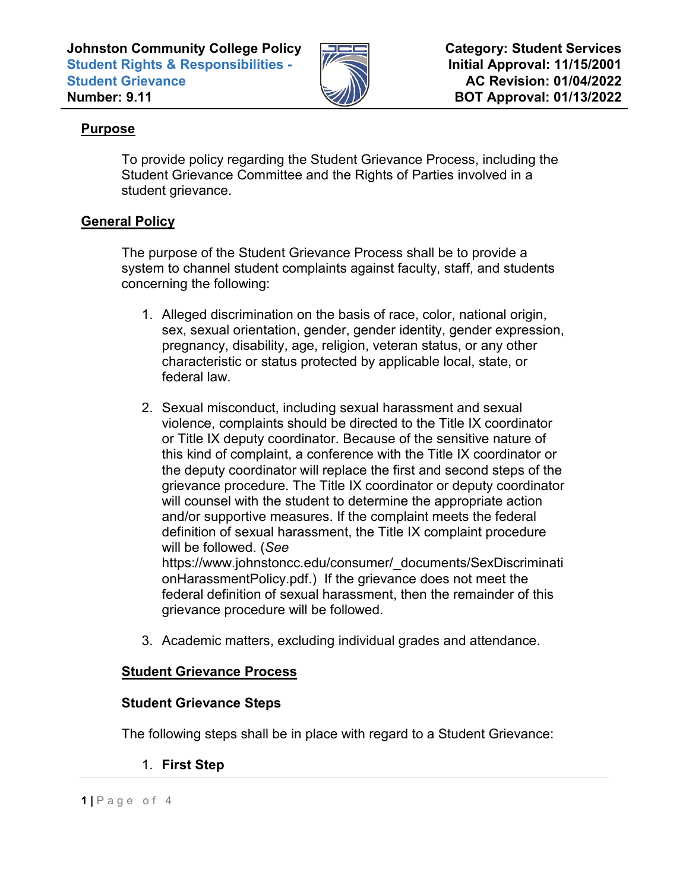**Johnston Community College Policy Student Rights & Responsibilities - Student Grievance Number: 9.11**



**Category: Student Services Initial Approval: 11/15/2001 AC Revision: 01/04/2022 BOT Approval: 01/13/2022**

# **Purpose**

To provide policy regarding the Student Grievance Process, including the Student Grievance Committee and the Rights of Parties involved in a student grievance.

## **General Policy**

The purpose of the Student Grievance Process shall be to provide a system to channel student complaints against faculty, staff, and students concerning the following:

- 1. Alleged discrimination on the basis of race, color, national origin, sex, sexual orientation, gender, gender identity, gender expression, pregnancy, disability, age, religion, veteran status, or any other characteristic or status protected by applicable local, state, or federal law.
- 2. Sexual misconduct, including sexual harassment and sexual violence, complaints should be directed to the Title IX coordinator or Title IX deputy coordinator. Because of the sensitive nature of this kind of complaint, a conference with the Title IX coordinator or the deputy coordinator will replace the first and second steps of the grievance procedure. The Title IX coordinator or deputy coordinator will counsel with the student to determine the appropriate action and/or supportive measures. If the complaint meets the federal definition of sexual harassment, the Title IX complaint procedure will be followed. (*See* https://www.johnstoncc.edu/consumer/\_documents/SexDiscriminati onHarassmentPolicy.pdf.) If the grievance does not meet the federal definition of sexual harassment, then the remainder of this grievance procedure will be followed.
- 3. Academic matters, excluding individual grades and attendance.

## **Student Grievance Process**

### **Student Grievance Steps**

The following steps shall be in place with regard to a Student Grievance:

1. **First Step**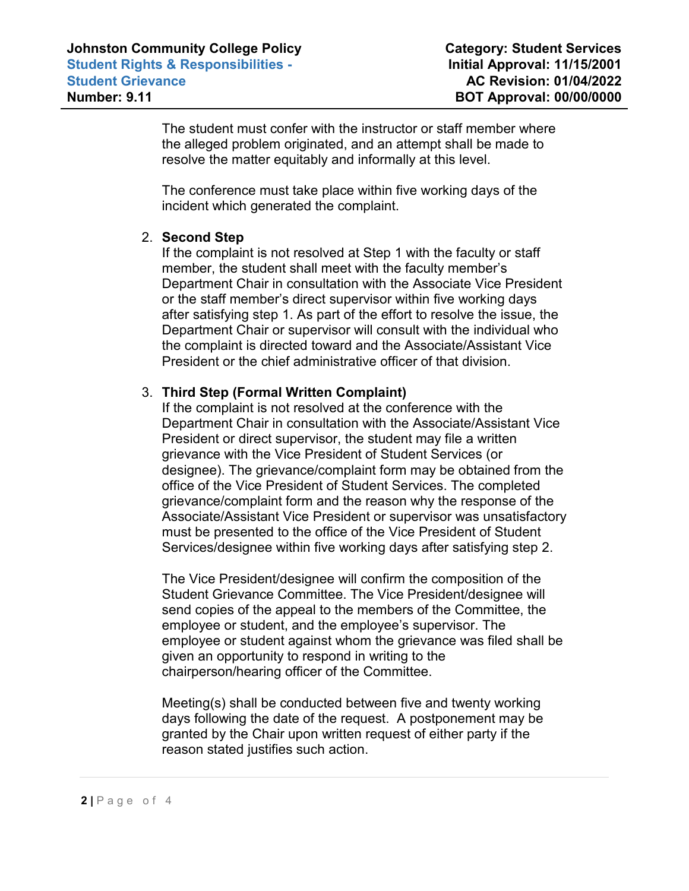The student must confer with the instructor or staff member where the alleged problem originated, and an attempt shall be made to resolve the matter equitably and informally at this level.

The conference must take place within five working days of the incident which generated the complaint.

### 2. **Second Step**

If the complaint is not resolved at Step 1 with the faculty or staff member, the student shall meet with the faculty member's Department Chair in consultation with the Associate Vice President or the staff member's direct supervisor within five working days after satisfying step 1. As part of the effort to resolve the issue, the Department Chair or supervisor will consult with the individual who the complaint is directed toward and the Associate/Assistant Vice President or the chief administrative officer of that division.

#### 3. **Third Step (Formal Written Complaint)**

If the complaint is not resolved at the conference with the Department Chair in consultation with the Associate/Assistant Vice President or direct supervisor, the student may file a written grievance with the Vice President of Student Services (or designee). The grievance/complaint form may be obtained from the office of the Vice President of Student Services. The completed grievance/complaint form and the reason why the response of the Associate/Assistant Vice President or supervisor was unsatisfactory must be presented to the office of the Vice President of Student Services/designee within five working days after satisfying step 2.

The Vice President/designee will confirm the composition of the Student Grievance Committee. The Vice President/designee will send copies of the appeal to the members of the Committee, the employee or student, and the employee's supervisor. The employee or student against whom the grievance was filed shall be given an opportunity to respond in writing to the chairperson/hearing officer of the Committee.

Meeting(s) shall be conducted between five and twenty working days following the date of the request. A postponement may be granted by the Chair upon written request of either party if the reason stated justifies such action.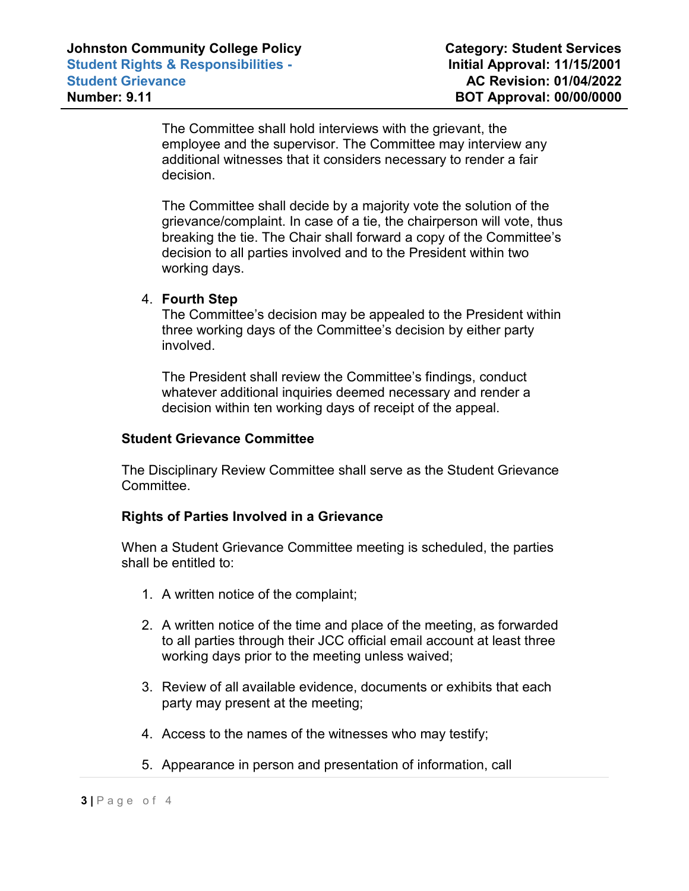The Committee shall hold interviews with the grievant, the employee and the supervisor. The Committee may interview any additional witnesses that it considers necessary to render a fair decision.

The Committee shall decide by a majority vote the solution of the grievance/complaint. In case of a tie, the chairperson will vote, thus breaking the tie. The Chair shall forward a copy of the Committee's decision to all parties involved and to the President within two working days.

#### 4. **Fourth Step**

The Committee's decision may be appealed to the President within three working days of the Committee's decision by either party involved.

The President shall review the Committee's findings, conduct whatever additional inquiries deemed necessary and render a decision within ten working days of receipt of the appeal.

#### **Student Grievance Committee**

The Disciplinary Review Committee shall serve as the Student Grievance Committee.

### **Rights of Parties Involved in a Grievance**

When a Student Grievance Committee meeting is scheduled, the parties shall be entitled to:

- 1. A written notice of the complaint;
- 2. A written notice of the time and place of the meeting, as forwarded to all parties through their JCC official email account at least three working days prior to the meeting unless waived;
- 3. Review of all available evidence, documents or exhibits that each party may present at the meeting;
- 4. Access to the names of the witnesses who may testify;
- 5. Appearance in person and presentation of information, call